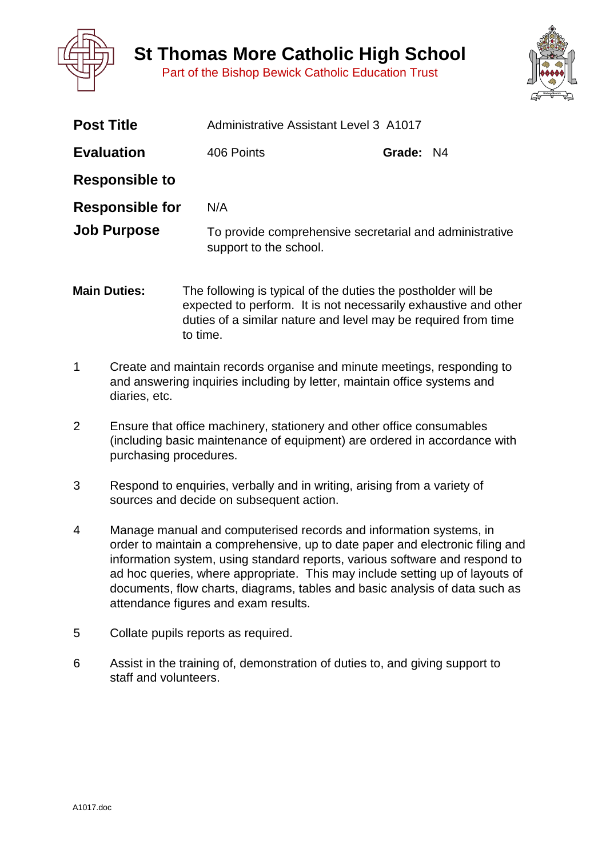

**St Thomas More Catholic High School**

Part of the Bishop Bewick Catholic Education Trust



| <b>Post Title</b>      | Administrative Assistant Level 3 A1017                                            |           |  |
|------------------------|-----------------------------------------------------------------------------------|-----------|--|
| <b>Evaluation</b>      | 406 Points                                                                        | Grade: N4 |  |
| <b>Responsible to</b>  |                                                                                   |           |  |
| <b>Responsible for</b> | N/A                                                                               |           |  |
| <b>Job Purpose</b>     | To provide comprehensive secretarial and administrative<br>support to the school. |           |  |

- **Main Duties:** The following is typical of the duties the postholder will be expected to perform. It is not necessarily exhaustive and other duties of a similar nature and level may be required from time to time.
- 1 Create and maintain records organise and minute meetings, responding to and answering inquiries including by letter, maintain office systems and diaries, etc.
- 2 Ensure that office machinery, stationery and other office consumables (including basic maintenance of equipment) are ordered in accordance with purchasing procedures.
- 3 Respond to enquiries, verbally and in writing, arising from a variety of sources and decide on subsequent action.
- 4 Manage manual and computerised records and information systems, in order to maintain a comprehensive, up to date paper and electronic filing and information system, using standard reports, various software and respond to ad hoc queries, where appropriate. This may include setting up of layouts of documents, flow charts, diagrams, tables and basic analysis of data such as attendance figures and exam results.
- 5 Collate pupils reports as required.
- 6 Assist in the training of, demonstration of duties to, and giving support to staff and volunteers.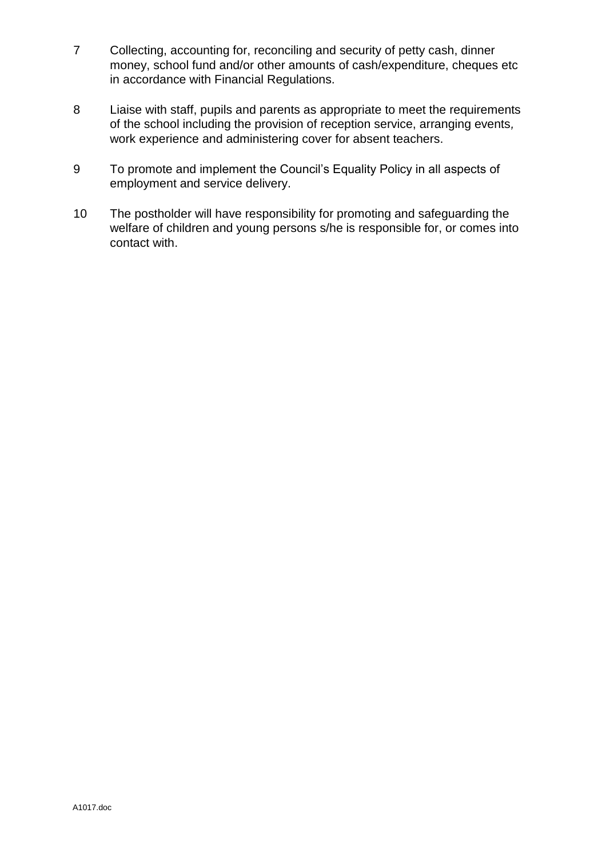- 7 Collecting, accounting for, reconciling and security of petty cash, dinner money, school fund and/or other amounts of cash/expenditure, cheques etc in accordance with Financial Regulations.
- 8 Liaise with staff, pupils and parents as appropriate to meet the requirements of the school including the provision of reception service, arranging events*,*  work experience and administering cover for absent teachers.
- 9 To promote and implement the Council's Equality Policy in all aspects of employment and service delivery.
- 10 The postholder will have responsibility for promoting and safeguarding the welfare of children and young persons s/he is responsible for, or comes into contact with.